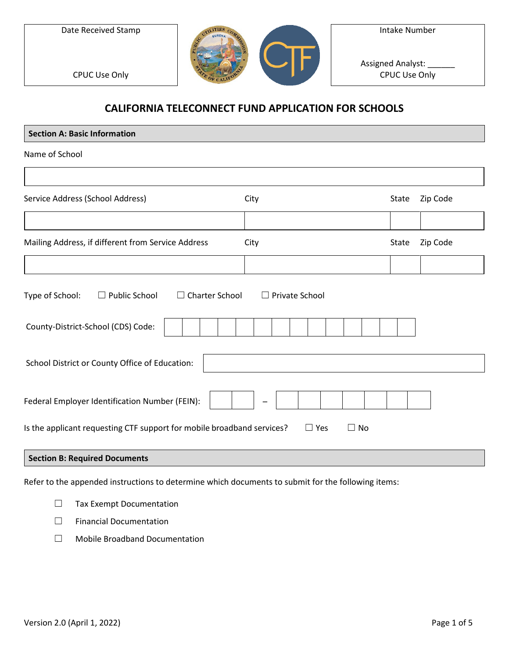Date Received Stamp

CPUC Use Only



Assigned Analyst: \_ CPUC Use Only

## **CALIFORNIA TELECONNECT FUND APPLICATION FOR SCHOOLS**

| <b>Section A: Basic Information</b>                                                               |       |          |
|---------------------------------------------------------------------------------------------------|-------|----------|
| Name of School                                                                                    |       |          |
|                                                                                                   |       |          |
| Service Address (School Address)<br>City                                                          | State | Zip Code |
|                                                                                                   |       |          |
| Mailing Address, if different from Service Address<br>City                                        | State | Zip Code |
|                                                                                                   |       |          |
| Charter School<br>Type of School:<br>$\Box$ Public School<br>$\Box$ Private School<br>$\Box$      |       |          |
| County-District-School (CDS) Code:                                                                |       |          |
| School District or County Office of Education:                                                    |       |          |
| Federal Employer Identification Number (FEIN):                                                    |       |          |
| Is the applicant requesting CTF support for mobile broadband services?<br>$\Box$ No<br>$\Box$ Yes |       |          |
| <b>Section B: Required Documents</b>                                                              |       |          |

Refer to the appended instructions to determine which documents to submit for the following items:

☐ Tax Exempt Documentation

☐ Financial Documentation

☐ Mobile Broadband Documentation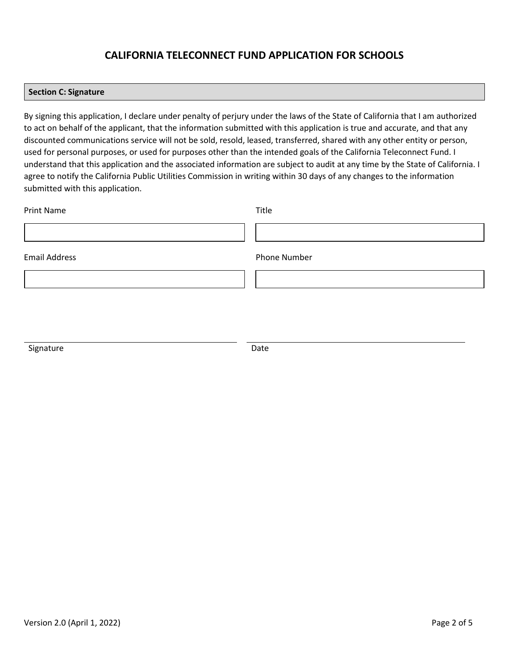### **CALIFORNIA TELECONNECT FUND APPLICATION FOR SCHOOLS**

#### **Section C: Signature**

By signing this application, I declare under penalty of perjury under the laws of the State of California that I am authorized to act on behalf of the applicant, that the information submitted with this application is true and accurate, and that any discounted communications service will not be sold, resold, leased, transferred, shared with any other entity or person, used for personal purposes, or used for purposes other than the intended goals of the California Teleconnect Fund. I understand that this application and the associated information are subject to audit at any time by the State of California. I agree to notify the California Public Utilities Commission in writing within 30 days of any changes to the information submitted with this application.

| <b>Print Name</b>    | Title        |
|----------------------|--------------|
|                      |              |
| <b>Email Address</b> | Phone Number |
|                      |              |
|                      |              |

Signature Date Date Date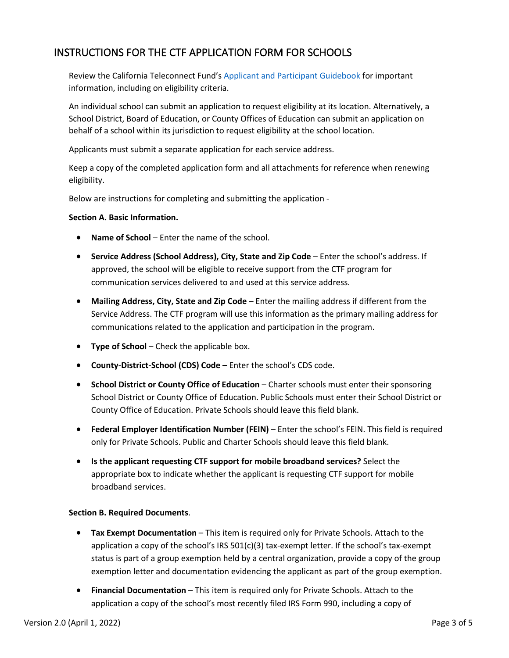# INSTRUCTIONS FOR THE CTF APPLICATION FORM FOR SCHOOLS

Review the California Teleconnect Fund's [Applicant and Participant Guidebook](https://www.cpuc.ca.gov/-/media/cpuc-website/divisions/communications-division/documents/california-teleconnect-fund/ctf_applicant_and_participant_guidebook.pdf) for important information, including on eligibility criteria.

An individual school can submit an application to request eligibility at its location. Alternatively, a School District, Board of Education, or County Offices of Education can submit an application on behalf of a school within its jurisdiction to request eligibility at the school location.

Applicants must submit a separate application for each service address.

Keep a copy of the completed application form and all attachments for reference when renewing eligibility.

Below are instructions for completing and submitting the application -

### **Section A. Basic Information.**

- **Name of School** Enter the name of the school.
- **Service Address (School Address), City, State and Zip Code** Enter the school's address. If approved, the school will be eligible to receive support from the CTF program for communication services delivered to and used at this service address.
- **Mailing Address, City, State and Zip Code** Enter the mailing address if different from the Service Address. The CTF program will use this information as the primary mailing address for communications related to the application and participation in the program.
- **Type of School** Check the applicable box.
- **County-District-School (CDS) Code –** Enter the school's CDS code.
- **School District or County Office of Education** Charter schools must enter their sponsoring School District or County Office of Education. Public Schools must enter their School District or County Office of Education. Private Schools should leave this field blank.
- **Federal Employer Identification Number (FEIN)** Enter the school's FEIN. This field is required only for Private Schools. Public and Charter Schools should leave this field blank.
- **Is the applicant requesting CTF support for mobile broadband services?** Select the appropriate box to indicate whether the applicant is requesting CTF support for mobile broadband services.

### **Section B. Required Documents**.

- **Tax Exempt Documentation** This item is required only for Private Schools. Attach to the application a copy of the school's IRS 501(c)(3) tax-exempt letter. If the school's tax-exempt status is part of a group exemption held by a central organization, provide a copy of the group exemption letter and documentation evidencing the applicant as part of the group exemption.
- **Financial Documentation** This item is required only for Private Schools. Attach to the application a copy of the school's most recently filed IRS Form 990, including a copy of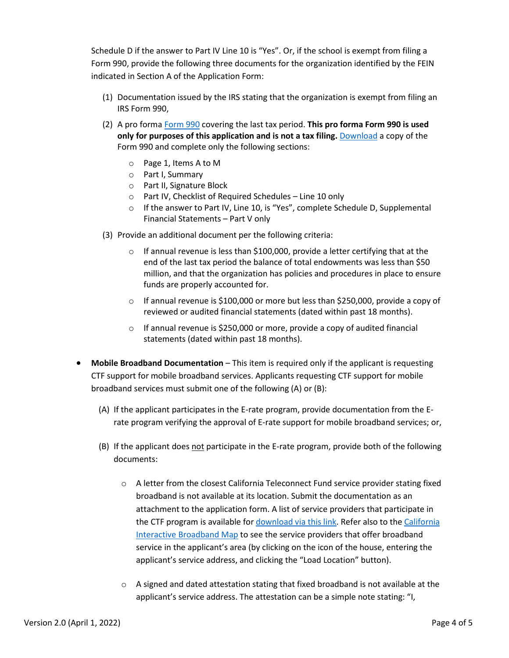Schedule D if the answer to Part IV Line 10 is "Yes". Or, if the school is exempt from filing a Form 990, provide the following three documents for the organization identified by the FEIN indicated in Section A of the Application Form:

- (1) Documentation issued by the IRS stating that the organization is exempt from filing an IRS Form 990,
- (2) A pro forma [Form 990](https://www.google.com/url?sa=t&rct=j&q=&esrc=s&source=web&cd=&ved=2ahUKEwiuqPvQgYbuAhVZPuwKHd0-DgAQFjAAegQIAxAC&url=https%3A%2F%2Fwww.irs.gov%2Fpub%2Firs-pdf%2Ff990.pdf&usg=AOvVaw0mLB6yQvVpXJ8IB6qgyYm1) covering the last tax period. **This pro forma Form 990 is used only for purposes of this application and is not a tax filing.** [Download](https://www.google.com/url?sa=t&rct=j&q=&esrc=s&source=web&cd=&ved=2ahUKEwiuqPvQgYbuAhVZPuwKHd0-DgAQFjAAegQIAxAC&url=https%3A%2F%2Fwww.irs.gov%2Fpub%2Firs-pdf%2Ff990.pdf&usg=AOvVaw0mLB6yQvVpXJ8IB6qgyYm1) a copy of the Form 990 and complete only the following sections:
	- o Page 1, Items A to M
	- o Part I, Summary
	- o Part II, Signature Block
	- o Part IV, Checklist of Required Schedules Line 10 only
	- $\circ$  If the answer to Part IV, Line 10, is "Yes", complete Schedule D, Supplemental Financial Statements – Part V only
- (3) Provide an additional document per the following criteria:
	- $\circ$  If annual revenue is less than \$100,000, provide a letter certifying that at the end of the last tax period the balance of total endowments was less than \$50 million, and that the organization has policies and procedures in place to ensure funds are properly accounted for.
	- $\circ$  If annual revenue is \$100,000 or more but less than \$250,000, provide a copy of reviewed or audited financial statements (dated within past 18 months).
	- $\circ$  If annual revenue is \$250,000 or more, provide a copy of audited financial statements (dated within past 18 months).
- **Mobile Broadband Documentation** This item is required only if the applicant is requesting CTF support for mobile broadband services. Applicants requesting CTF support for mobile broadband services must submit one of the following (A) or (B):
	- (A) If the applicant participates in the E-rate program, provide documentation from the Erate program verifying the approval of E-rate support for mobile broadband services; or,
	- (B) If the applicant does not participate in the E-rate program, provide both of the following documents:
		- $\circ$  A letter from the closest California Teleconnect Fund service provider stating fixed broadband is not available at its location. Submit the documentation as an attachment to the application form. A list of service providers that participate in the CTF program is available for [download via this link.](https://www.cpuc.ca.gov/uploadedFiles/CPUC_Public_Website/Content/Utilities_and_Industries/Communications_-_Telecommunications_and_Broadband/Consumer_Programs/California_Teleconnect_Fund/CTF_Participating_Service_Providers.xlsx) Refer also to th[e California](http://www.broadbandmap.ca.gov/)  [Interactive Broadband Map](http://www.broadbandmap.ca.gov/) to see the service providers that offer broadband service in the applicant's area (by clicking on the icon of the house, entering the applicant's service address, and clicking the "Load Location" button).
		- $\circ$  A signed and dated attestation stating that fixed broadband is not available at the applicant's service address. The attestation can be a simple note stating: "I,